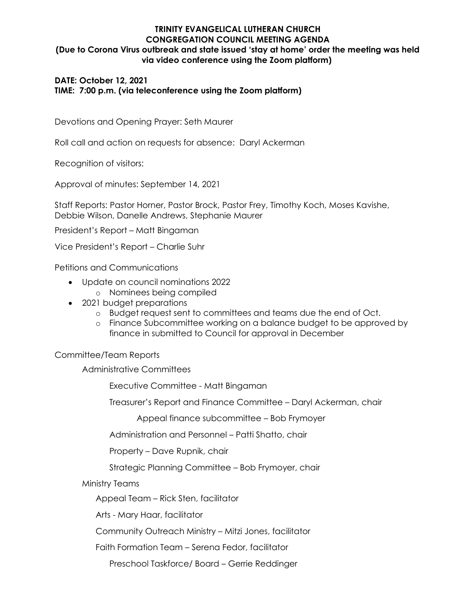# **TRINITY EVANGELICAL LUTHERAN CHURCH CONGREGATION COUNCIL MEETING AGENDA (Due to Corona Virus outbreak and state issued 'stay at home' order the meeting was held via video conference using the Zoom platform)**

## **DATE: October 12, 2021 TIME: 7:00 p.m. (via teleconference using the Zoom platform)**

Devotions and Opening Prayer: Seth Maurer

Roll call and action on requests for absence: Daryl Ackerman

Recognition of visitors:

Approval of minutes: September 14, 2021

Staff Reports: Pastor Horner, Pastor Brock, Pastor Frey, Timothy Koch, Moses Kavishe, Debbie Wilson, Danelle Andrews, Stephanie Maurer

President's Report – Matt Bingaman

Vice President's Report – Charlie Suhr

Petitions and Communications

- Update on council nominations 2022
	- o Nominees being compiled
- 2021 budget preparations
	- o Budget request sent to committees and teams due the end of Oct.
	- o Finance Subcommittee working on a balance budget to be approved by finance in submitted to Council for approval in December

#### Committee/Team Reports

Administrative Committees

Executive Committee - Matt Bingaman

Treasurer's Report and Finance Committee – Daryl Ackerman, chair

Appeal finance subcommittee – Bob Frymoyer

Administration and Personnel – Patti Shatto, chair

Property – Dave Rupnik, chair

Strategic Planning Committee – Bob Frymoyer, chair

#### Ministry Teams

Appeal Team – Rick Sten, facilitator

Arts - Mary Haar, facilitator

Community Outreach Ministry – Mitzi Jones, facilitator

Faith Formation Team – Serena Fedor, facilitator

Preschool Taskforce/ Board – Gerrie Reddinger